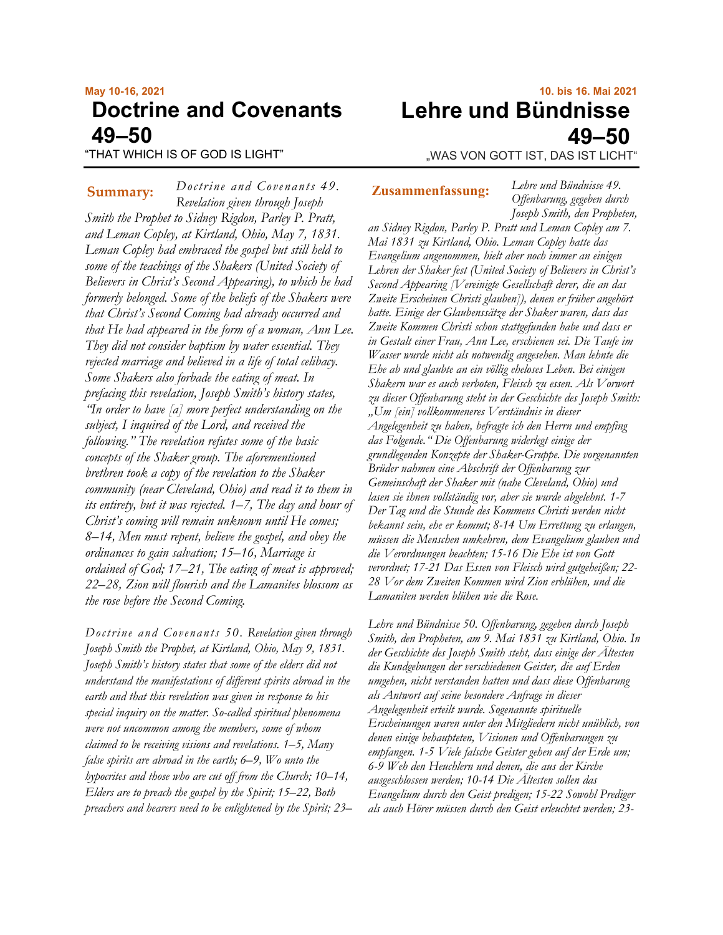# **May 10-16, 2021 Doctrine and Covenants 49–50**

"THAT WHICH IS OF GOD IS LIGHT"

**10. bis 16. Mai 2021 Lehre und Bündnisse 49–50** "WAS VON GOTT IST, DAS IST LICHT"

*Doctrine and Covenants 49. Revelation given through Joseph Smith the Prophet to Sidney Rigdon, Parley P. Pratt, and Leman Copley, at Kirtland, Ohio, May 7, 1831. Leman Copley had embraced the gospel but still held to some of the teachings of the Shakers (United Society of Believers in Christ's Second Appearing), to which he had formerly belonged. Some of the beliefs of the Shakers were that Christ's Second Coming had already occurred and that He had appeared in the form of a woman, Ann Lee. They did not consider baptism by water essential. They rejected marriage and believed in a life of total celibacy. Some Shakers also forbade the eating of meat. In prefacing this revelation, Joseph Smith's history states, "In order to have [a] more perfect understanding on the subject, I inquired of the Lord, and received the following." The revelation refutes some of the basic concepts of the Shaker group. The aforementioned brethren took a copy of the revelation to the Shaker community (near Cleveland, Ohio) and read it to them in its entirety, but it was rejected. 1–7, The day and hour of Christ's coming will remain unknown until He comes; 8–14, Men must repent, believe the gospel, and obey the ordinances to gain salvation; 15–16, Marriage is ordained of God; 17–21, The eating of meat is approved; 22–28, Zion will flourish and the Lamanites blossom as the rose before the Second Coming.* **Summary:** Doctrine and Covenants 49. **Zusammenfassung:** 

*Doctrine and Covenants 50. Revelation given through Joseph Smith the Prophet, at Kirtland, Ohio, May 9, 1831. Joseph Smith's history states that some of the elders did not understand the manifestations of different spirits abroad in the earth and that this revelation was given in response to his special inquiry on the matter. So-called spiritual phenomena were not uncommon among the members, some of whom claimed to be receiving visions and revelations. 1–5, Many false spirits are abroad in the earth; 6–9, Wo unto the hypocrites and those who are cut off from the Church; 10–14, Elders are to preach the gospel by the Spirit; 15–22, Both preachers and hearers need to be enlightened by the Spirit; 23–*

*Lehre und Bündnisse 49. Offenbarung, gegeben durch Joseph Smith, den Propheten,* 

*an Sidney Rigdon, Parley P. Pratt und Leman Copley am 7. Mai 1831 zu Kirtland, Ohio. Leman Copley hatte das Evangelium angenommen, hielt aber noch immer an einigen Lehren der Shaker fest (United Society of Believers in Christ's Second Appearing [Vereinigte Gesellschaft derer, die an das Zweite Erscheinen Christi glauben]), denen er früher angehört hatte. Einige der Glaubenssätze der Shaker waren, dass das Zweite Kommen Christi schon stattgefunden habe und dass er in Gestalt einer Frau, Ann Lee, erschienen sei. Die Taufe im Wasser wurde nicht als notwendig angesehen. Man lehnte die Ehe ab und glaubte an ein völlig eheloses Leben. Bei einigen Shakern war es auch verboten, Fleisch zu essen. Als Vorwort zu dieser Offenbarung steht in der Geschichte des Joseph Smith: "Um [ein] vollkommeneres Verständnis in dieser Angelegenheit zu haben, befragte ich den Herrn und empfing das Folgende." Die Offenbarung widerlegt einige der grundlegenden Konzepte der Shaker-Gruppe. Die vorgenannten Brüder nahmen eine Abschrift der Offenbarung zur Gemeinschaft der Shaker mit (nahe Cleveland, Ohio) und lasen sie ihnen vollständig vor, aber sie wurde abgelehnt. 1-7 Der Tag und die Stunde des Kommens Christi werden nicht bekannt sein, ehe er kommt; 8-14 Um Errettung zu erlangen, müssen die Menschen umkehren, dem Evangelium glauben und die Verordnungen beachten; 15-16 Die Ehe ist von Gott verordnet; 17-21 Das Essen von Fleisch wird gutgeheißen; 22- 28 Vor dem Zweiten Kommen wird Zion erblühen, und die Lamaniten werden blühen wie die Rose.*

*Lehre und Bündnisse 50. Offenbarung, gegeben durch Joseph Smith, den Propheten, am 9. Mai 1831 zu Kirtland, Ohio. In der Geschichte des Joseph Smith steht, dass einige der Ältesten die Kundgebungen der verschiedenen Geister, die auf Erden umgehen, nicht verstanden hatten und dass diese Offenbarung als Antwort auf seine besondere Anfrage in dieser Angelegenheit erteilt wurde. Sogenannte spirituelle Erscheinungen waren unter den Mitgliedern nicht unüblich, von denen einige behaupteten, Visionen und Offenbarungen zu empfangen. 1-5 Viele falsche Geister gehen auf der Erde um; 6-9 Weh den Heuchlern und denen, die aus der Kirche ausgeschlossen werden; 10-14 Die Ältesten sollen das Evangelium durch den Geist predigen; 15-22 Sowohl Prediger als auch Hörer müssen durch den Geist erleuchtet werden; 23-*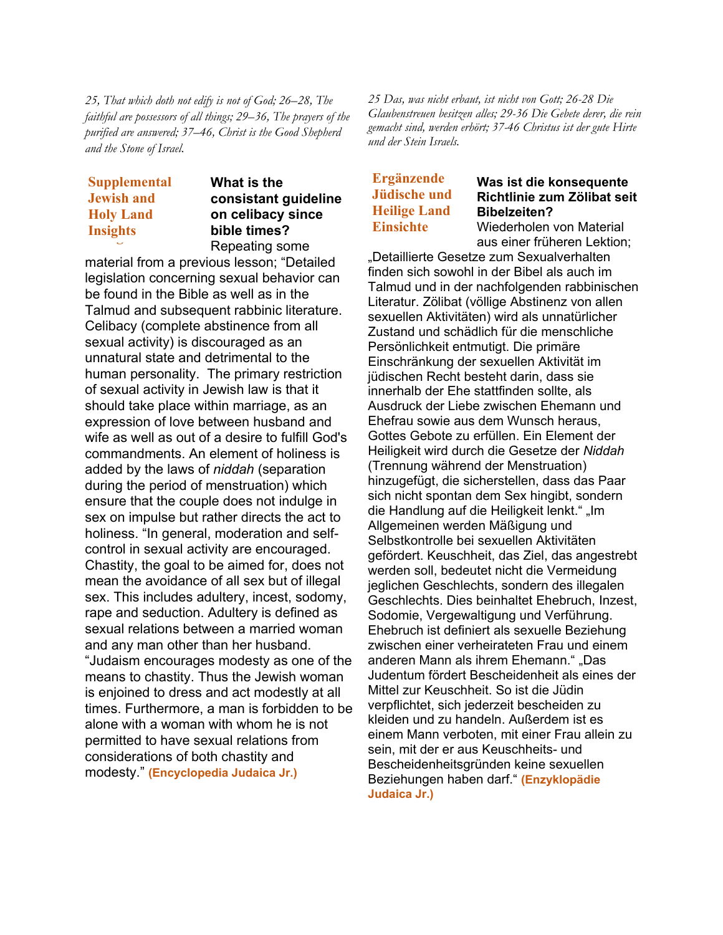*25, That which doth not edify is not of God; 26–28, The faithful are possessors of all things; 29–36, The prayers of the purified are answered; 37–46, Christ is the Good Shepherd and the Stone of Israel.*

# **Supplemental Supplemental Jewish and Jewish and Holy Land Holy Land Insights Insights**

**What is the consistant guideline on celibacy since bible times?** Repeating some

material from a previous lesson; "Detailed legislation concerning sexual behavior can be found in the Bible as well as in the Talmud and subsequent rabbinic literature. Celibacy (complete abstinence from all sexual activity) is discouraged as an unnatural state and detrimental to the human personality. The primary restriction of sexual activity in Jewish law is that it should take place within marriage, as an expression of love between husband and wife as well as out of a desire to fulfill God's commandments. An element of holiness is added by the laws of *niddah* (separation during the period of menstruation) which ensure that the couple does not indulge in sex on impulse but rather directs the act to holiness. "In general, moderation and selfcontrol in sexual activity are encouraged. Chastity, the goal to be aimed for, does not mean the avoidance of all sex but of illegal sex. This includes adultery, incest, sodomy, rape and seduction. Adultery is defined as sexual relations between a married woman and any man other than her husband. "Judaism encourages modesty as one of the means to chastity. Thus the Jewish woman is enjoined to dress and act modestly at all times. Furthermore, a man is forbidden to be alone with a woman with whom he is not permitted to have sexual relations from considerations of both chastity and modesty." **(Encyclopedia Judaica Jr.)**

*25 Das, was nicht erbaut, ist nicht von Gott; 26-28 Die Glaubenstreuen besitzen alles; 29-36 Die Gebete derer, die rein gemacht sind, werden erhört; 37-46 Christus ist der gute Hirte und der Stein Israels.*

# **Ergänzende Jüdische und Heilige Land Einsichte**

#### **Was ist die konsequente Richtlinie zum Zölibat seit Bibelzeiten?** Wiederholen von Material

aus einer früheren Lektion;

"Detaillierte Gesetze zum Sexualverhalten finden sich sowohl in der Bibel als auch im Talmud und in der nachfolgenden rabbinischen Literatur. Zölibat (völlige Abstinenz von allen sexuellen Aktivitäten) wird als unnatürlicher Zustand und schädlich für die menschliche Persönlichkeit entmutigt. Die primäre Einschränkung der sexuellen Aktivität im jüdischen Recht besteht darin, dass sie innerhalb der Ehe stattfinden sollte, als Ausdruck der Liebe zwischen Ehemann und Ehefrau sowie aus dem Wunsch heraus, Gottes Gebote zu erfüllen. Ein Element der Heiligkeit wird durch die Gesetze der *Niddah* (Trennung während der Menstruation) hinzugefügt, die sicherstellen, dass das Paar sich nicht spontan dem Sex hingibt, sondern die Handlung auf die Heiligkeit lenkt." "Im Allgemeinen werden Mäßigung und Selbstkontrolle bei sexuellen Aktivitäten gefördert. Keuschheit, das Ziel, das angestrebt werden soll, bedeutet nicht die Vermeidung jeglichen Geschlechts, sondern des illegalen Geschlechts. Dies beinhaltet Ehebruch, Inzest, Sodomie, Vergewaltigung und Verführung. Ehebruch ist definiert als sexuelle Beziehung zwischen einer verheirateten Frau und einem anderen Mann als ihrem Ehemann." "Das Judentum fördert Bescheidenheit als eines der Mittel zur Keuschheit. So ist die Jüdin verpflichtet, sich jederzeit bescheiden zu kleiden und zu handeln. Außerdem ist es einem Mann verboten, mit einer Frau allein zu sein, mit der er aus Keuschheits- und Bescheidenheitsgründen keine sexuellen Beziehungen haben darf." **(Enzyklopädie Judaica Jr.)**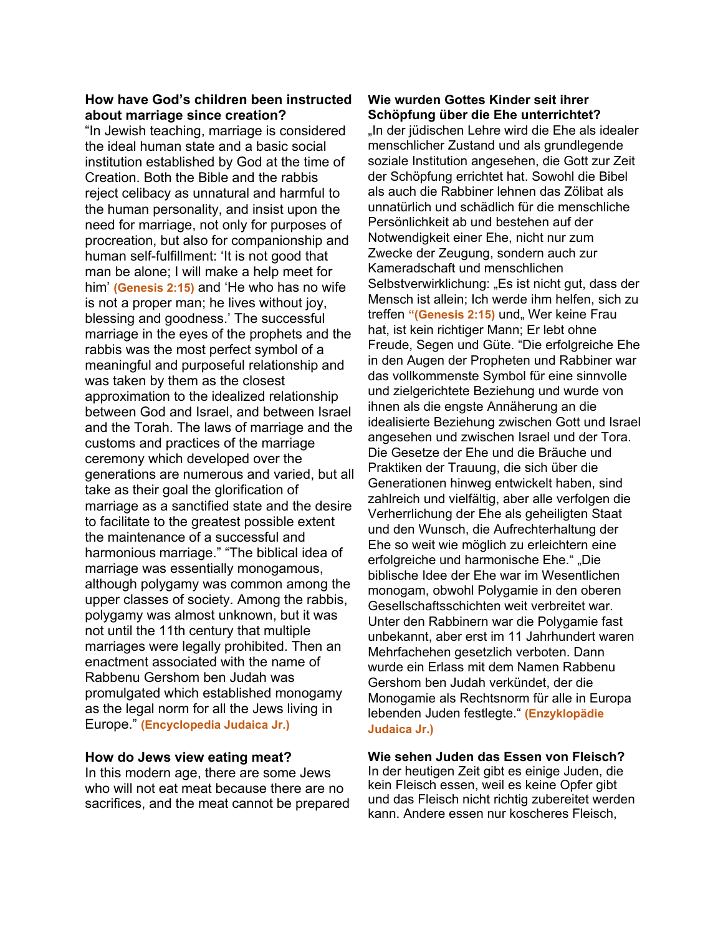### **How have God's children been instructed about marriage since creation?**

"In Jewish teaching, marriage is considered the ideal human state and a basic social institution established by God at the time of Creation. Both the Bible and the rabbis reject celibacy as unnatural and harmful to the human personality, and insist upon the need for marriage, not only for purposes of procreation, but also for companionship and human self-fulfillment: 'It is not good that man be alone; I will make a help meet for him' **(Genesis 2:15)** and 'He who has no wife is not a proper man; he lives without joy, blessing and goodness.' The successful marriage in the eyes of the prophets and the rabbis was the most perfect symbol of a meaningful and purposeful relationship and was taken by them as the closest approximation to the idealized relationship between God and Israel, and between Israel and the Torah. The laws of marriage and the customs and practices of the marriage ceremony which developed over the generations are numerous and varied, but all take as their goal the glorification of marriage as a sanctified state and the desire to facilitate to the greatest possible extent the maintenance of a successful and harmonious marriage." "The biblical idea of marriage was essentially monogamous, although polygamy was common among the upper classes of society. Among the rabbis, polygamy was almost unknown, but it was not until the 11th century that multiple marriages were legally prohibited. Then an enactment associated with the name of Rabbenu Gershom ben Judah was promulgated which established monogamy as the legal norm for all the Jews living in Europe." **(Encyclopedia Judaica Jr.)**

#### **How do Jews view eating meat?**

In this modern age, there are some Jews who will not eat meat because there are no sacrifices, and the meat cannot be prepared

#### **Wie wurden Gottes Kinder seit ihrer Schöpfung über die Ehe unterrichtet?**

"In der jüdischen Lehre wird die Ehe als idealer menschlicher Zustand und als grundlegende soziale Institution angesehen, die Gott zur Zeit der Schöpfung errichtet hat. Sowohl die Bibel als auch die Rabbiner lehnen das Zölibat als unnatürlich und schädlich für die menschliche Persönlichkeit ab und bestehen auf der Notwendigkeit einer Ehe, nicht nur zum Zwecke der Zeugung, sondern auch zur Kameradschaft und menschlichen Selbstverwirklichung: "Es ist nicht gut, dass der Mensch ist allein; Ich werde ihm helfen, sich zu treffen "(Genesis 2:15) und, Wer keine Frau hat, ist kein richtiger Mann; Er lebt ohne Freude, Segen und Güte. "Die erfolgreiche Ehe in den Augen der Propheten und Rabbiner war das vollkommenste Symbol für eine sinnvolle und zielgerichtete Beziehung und wurde von ihnen als die engste Annäherung an die idealisierte Beziehung zwischen Gott und Israel angesehen und zwischen Israel und der Tora. Die Gesetze der Ehe und die Bräuche und Praktiken der Trauung, die sich über die Generationen hinweg entwickelt haben, sind zahlreich und vielfältig, aber alle verfolgen die Verherrlichung der Ehe als geheiligten Staat und den Wunsch, die Aufrechterhaltung der Ehe so weit wie möglich zu erleichtern eine erfolgreiche und harmonische Ehe." "Die biblische Idee der Ehe war im Wesentlichen monogam, obwohl Polygamie in den oberen Gesellschaftsschichten weit verbreitet war. Unter den Rabbinern war die Polygamie fast unbekannt, aber erst im 11 Jahrhundert waren Mehrfachehen gesetzlich verboten. Dann wurde ein Erlass mit dem Namen Rabbenu Gershom ben Judah verkündet, der die Monogamie als Rechtsnorm für alle in Europa lebenden Juden festlegte." **(Enzyklopädie Judaica Jr.)**

**Wie sehen Juden das Essen von Fleisch?** In der heutigen Zeit gibt es einige Juden, die kein Fleisch essen, weil es keine Opfer gibt und das Fleisch nicht richtig zubereitet werden kann. Andere essen nur koscheres Fleisch,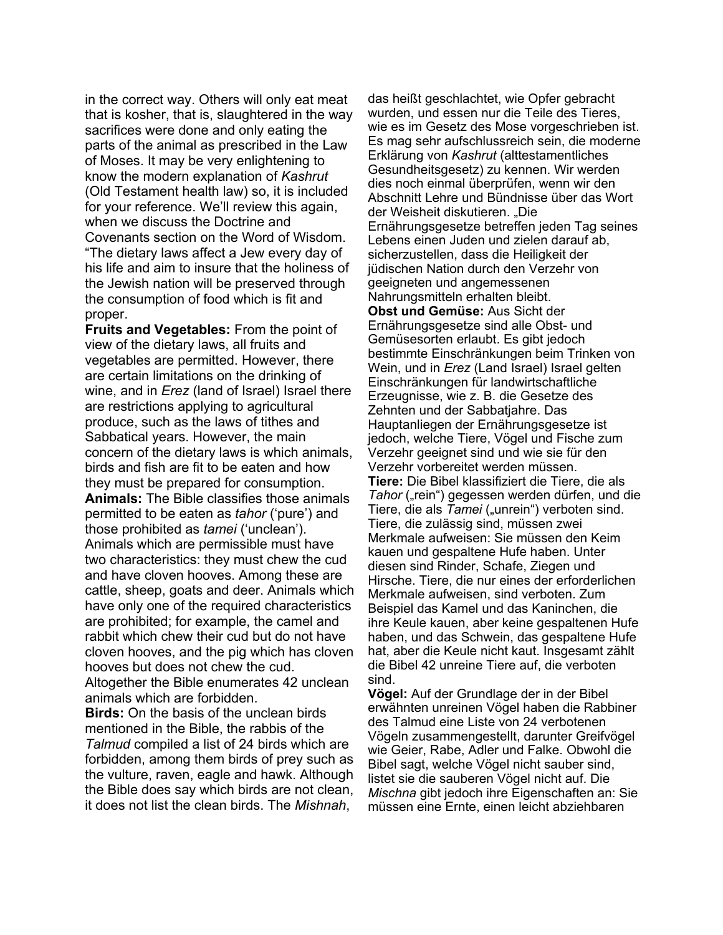in the correct way. Others will only eat meat that is kosher, that is, slaughtered in the way sacrifices were done and only eating the parts of the animal as prescribed in the Law of Moses. It may be very enlightening to know the modern explanation of *Kashrut* (Old Testament health law) so, it is included for your reference. We'll review this again, when we discuss the Doctrine and Covenants section on the Word of Wisdom. "The dietary laws affect a Jew every day of his life and aim to insure that the holiness of the Jewish nation will be preserved through the consumption of food which is fit and proper.

**Fruits and Vegetables:** From the point of view of the dietary laws, all fruits and vegetables are permitted. However, there are certain limitations on the drinking of wine, and in *Erez* (land of Israel) Israel there are restrictions applying to agricultural produce, such as the laws of tithes and Sabbatical years. However, the main concern of the dietary laws is which animals, birds and fish are fit to be eaten and how they must be prepared for consumption. **Animals:** The Bible classifies those animals permitted to be eaten as *tahor* ('pure') and those prohibited as *tamei* ('unclean'). Animals which are permissible must have two characteristics: they must chew the cud and have cloven hooves. Among these are cattle, sheep, goats and deer. Animals which have only one of the required characteristics are prohibited; for example, the camel and rabbit which chew their cud but do not have cloven hooves, and the pig which has cloven hooves but does not chew the cud.

Altogether the Bible enumerates 42 unclean animals which are forbidden.

**Birds:** On the basis of the unclean birds mentioned in the Bible, the rabbis of the *Talmud* compiled a list of 24 birds which are forbidden, among them birds of prey such as the vulture, raven, eagle and hawk. Although the Bible does say which birds are not clean, it does not list the clean birds. The *Mishnah*,

das heißt geschlachtet, wie Opfer gebracht wurden, und essen nur die Teile des Tieres, wie es im Gesetz des Mose vorgeschrieben ist. Es mag sehr aufschlussreich sein, die moderne Erklärung von *Kashrut* (alttestamentliches Gesundheitsgesetz) zu kennen. Wir werden dies noch einmal überprüfen, wenn wir den Abschnitt Lehre und Bündnisse über das Wort der Weisheit diskutieren. "Die Ernährungsgesetze betreffen jeden Tag seines Lebens einen Juden und zielen darauf ab, sicherzustellen, dass die Heiligkeit der jüdischen Nation durch den Verzehr von geeigneten und angemessenen Nahrungsmitteln erhalten bleibt. **Obst und Gemüse:** Aus Sicht der Ernährungsgesetze sind alle Obst- und Gemüsesorten erlaubt. Es gibt jedoch bestimmte Einschränkungen beim Trinken von Wein, und in *Erez* (Land Israel) Israel gelten Einschränkungen für landwirtschaftliche Erzeugnisse, wie z. B. die Gesetze des Zehnten und der Sabbatjahre. Das Hauptanliegen der Ernährungsgesetze ist jedoch, welche Tiere, Vögel und Fische zum Verzehr geeignet sind und wie sie für den Verzehr vorbereitet werden müssen. **Tiere:** Die Bibel klassifiziert die Tiere, die als *Tahor* ("rein") gegessen werden dürfen, und die Tiere, die als *Tamei* ("unrein") verboten sind. Tiere, die zulässig sind, müssen zwei Merkmale aufweisen: Sie müssen den Keim kauen und gespaltene Hufe haben. Unter diesen sind Rinder, Schafe, Ziegen und Hirsche. Tiere, die nur eines der erforderlichen Merkmale aufweisen, sind verboten. Zum Beispiel das Kamel und das Kaninchen, die ihre Keule kauen, aber keine gespaltenen Hufe haben, und das Schwein, das gespaltene Hufe hat, aber die Keule nicht kaut. Insgesamt zählt die Bibel 42 unreine Tiere auf, die verboten sind.

**Vögel:** Auf der Grundlage der in der Bibel erwähnten unreinen Vögel haben die Rabbiner des Talmud eine Liste von 24 verbotenen Vögeln zusammengestellt, darunter Greifvögel wie Geier, Rabe, Adler und Falke. Obwohl die Bibel sagt, welche Vögel nicht sauber sind, listet sie die sauberen Vögel nicht auf. Die *Mischna* gibt jedoch ihre Eigenschaften an: Sie müssen eine Ernte, einen leicht abziehbaren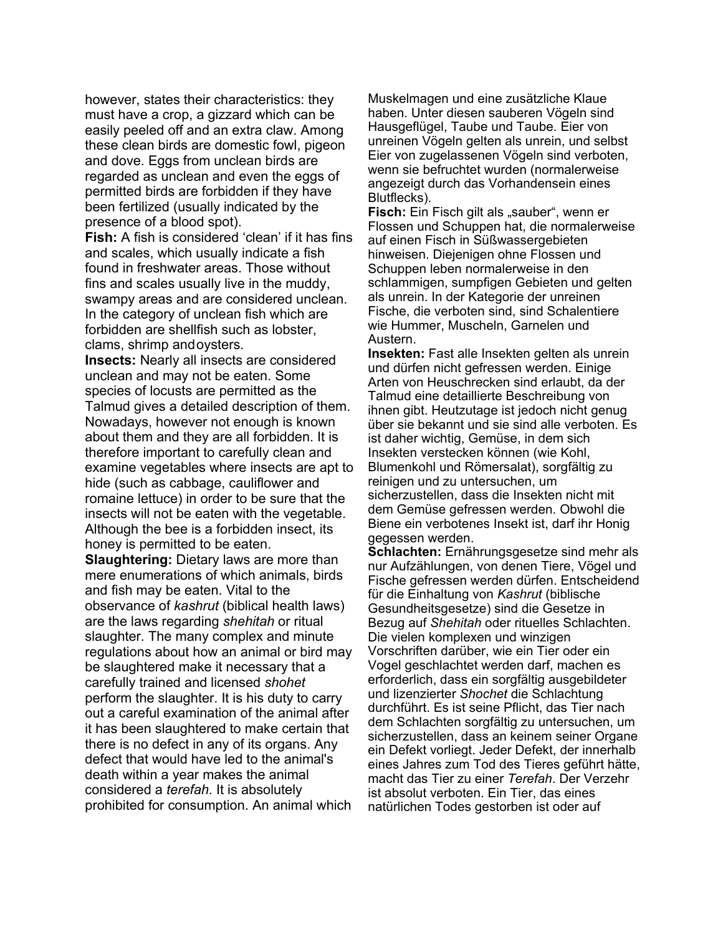however, states their characteristics: they must have a crop, a gizzard which can be easily peeled off and an extra claw. Among these clean birds are domestic fowl, pigeon and dove. Eggs from unclean birds are regarded as unclean and even the eggs of permitted birds are forbidden if they have been fertilized (usually indicated by the presence of a blood spot).

**Fish:** A fish is considered 'clean' if it has fins and scales, which usually indicate a fish found in freshwater areas. Those without fins and scales usually live in the muddy, swampy areas and are considered unclean. In the category of unclean fish which are forbidden are shellfish such as lobster, clams, shrimp andoysters.

**Insects:** Nearly all insects are considered unclean and may not be eaten. Some species of locusts are permitted as the Talmud gives a detailed description of them. Nowadays, however not enough is known about them and they are all forbidden. It is therefore important to carefully clean and examine vegetables where insects are apt to hide (such as cabbage, cauliflower and romaine lettuce) in order to be sure that the insects will not be eaten with the vegetable. Although the bee is a forbidden insect, its honey is permitted to be eaten.

**Slaughtering:** Dietary laws are more than mere enumerations of which animals, birds and fish may be eaten. Vital to the observance of *kashrut* (biblical health laws) are the laws regarding *shehitah* or ritual slaughter. The many complex and minute regulations about how an animal or bird may be slaughtered make it necessary that a carefully trained and licensed *shohet* perform the slaughter. It is his duty to carry out a careful examination of the animal after it has been slaughtered to make certain that there is no defect in any of its organs. Any defect that would have led to the animal's death within a year makes the animal considered a *terefah*. It is absolutely prohibited for consumption. An animal which

Muskelmagen und eine zusätzliche Klaue haben. Unter diesen sauberen Vögeln sind Hausgeflügel, Taube und Taube. Eier von unreinen Vögeln gelten als unrein, und selbst Eier von zugelassenen Vögeln sind verboten, wenn sie befruchtet wurden (normalerweise angezeigt durch das Vorhandensein eines Blutflecks).

**Fisch:** Ein Fisch gilt als "sauber", wenn er Flossen und Schuppen hat, die normalerweise auf einen Fisch in Süßwassergebieten hinweisen. Diejenigen ohne Flossen und Schuppen leben normalerweise in den schlammigen, sumpfigen Gebieten und gelten als unrein. In der Kategorie der unreinen Fische, die verboten sind, sind Schalentiere wie Hummer, Muscheln, Garnelen und Austern.

**Insekten:** Fast alle Insekten gelten als unrein und dürfen nicht gefressen werden. Einige Arten von Heuschrecken sind erlaubt, da der Talmud eine detaillierte Beschreibung von ihnen gibt. Heutzutage ist jedoch nicht genug über sie bekannt und sie sind alle verboten. Es ist daher wichtig, Gemüse, in dem sich Insekten verstecken können (wie Kohl, Blumenkohl und Römersalat), sorgfältig zu reinigen und zu untersuchen, um sicherzustellen, dass die Insekten nicht mit dem Gemüse gefressen werden. Obwohl die Biene ein verbotenes Insekt ist, darf ihr Honig gegessen werden.

**Schlachten:** Ernährungsgesetze sind mehr als nur Aufzählungen, von denen Tiere, Vögel und Fische gefressen werden dürfen. Entscheidend für die Einhaltung von *Kashrut* (biblische Gesundheitsgesetze) sind die Gesetze in Bezug auf *Shehitah* oder rituelles Schlachten. Die vielen komplexen und winzigen Vorschriften darüber, wie ein Tier oder ein Vogel geschlachtet werden darf, machen es erforderlich, dass ein sorgfältig ausgebildeter und lizenzierter *Shochet* die Schlachtung durchführt. Es ist seine Pflicht, das Tier nach dem Schlachten sorgfältig zu untersuchen, um sicherzustellen, dass an keinem seiner Organe ein Defekt vorliegt. Jeder Defekt, der innerhalb eines Jahres zum Tod des Tieres geführt hätte, macht das Tier zu einer *Terefah*. Der Verzehr ist absolut verboten. Ein Tier, das eines natürlichen Todes gestorben ist oder auf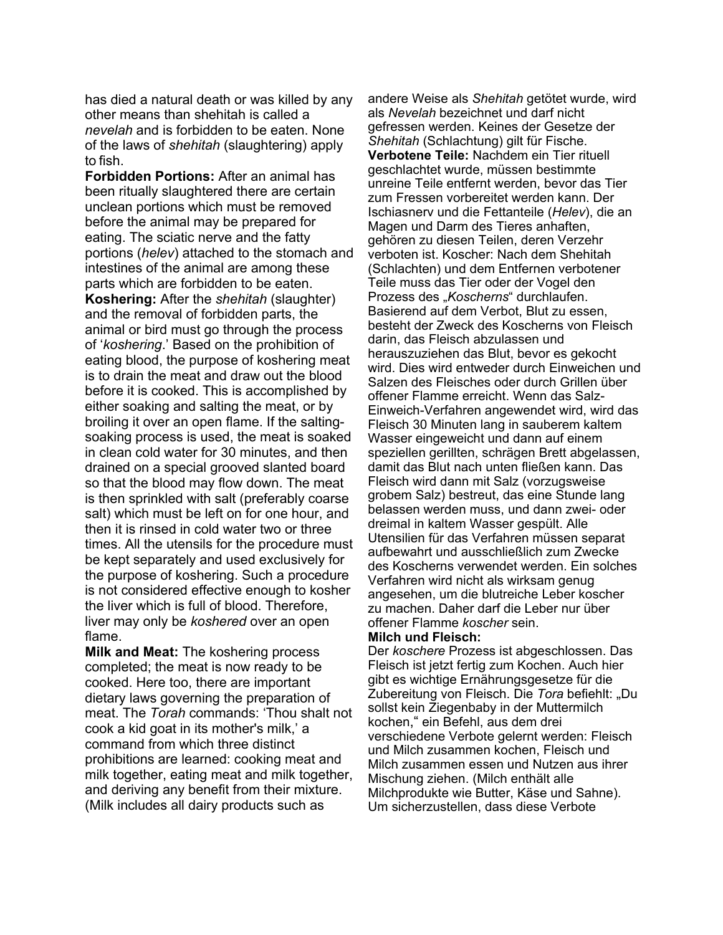has died a natural death or was killed by any other means than shehitah is called a *nevelah* and is forbidden to be eaten. None of the laws of *shehitah* (slaughtering) apply to fish.

**Forbidden Portions:** After an animal has been ritually slaughtered there are certain unclean portions which must be removed before the animal may be prepared for eating. The sciatic nerve and the fatty portions (*helev*) attached to the stomach and intestines of the animal are among these parts which are forbidden to be eaten. **Koshering:** After the *shehitah* (slaughter) and the removal of forbidden parts, the animal or bird must go through the process of '*koshering*.' Based on the prohibition of eating blood, the purpose of koshering meat is to drain the meat and draw out the blood before it is cooked. This is accomplished by either soaking and salting the meat, or by broiling it over an open flame. If the saltingsoaking process is used, the meat is soaked in clean cold water for 30 minutes, and then drained on a special grooved slanted board so that the blood may flow down. The meat is then sprinkled with salt (preferably coarse salt) which must be left on for one hour, and then it is rinsed in cold water two or three times. All the utensils for the procedure must be kept separately and used exclusively for the purpose of koshering. Such a procedure is not considered effective enough to kosher the liver which is full of blood. Therefore, liver may only be *koshered* over an open flame.

**Milk and Meat:** The koshering process completed; the meat is now ready to be cooked. Here too, there are important dietary laws governing the preparation of meat. The *Torah* commands: 'Thou shalt not cook a kid goat in its mother's milk,' a command from which three distinct prohibitions are learned: cooking meat and milk together, eating meat and milk together, and deriving any benefit from their mixture. (Milk includes all dairy products such as

andere Weise als *Shehitah* getötet wurde, wird als *Nevelah* bezeichnet und darf nicht gefressen werden. Keines der Gesetze der *Shehitah* (Schlachtung) gilt für Fische. **Verbotene Teile:** Nachdem ein Tier rituell geschlachtet wurde, müssen bestimmte unreine Teile entfernt werden, bevor das Tier zum Fressen vorbereitet werden kann. Der Ischiasnerv und die Fettanteile (*Helev*), die an Magen und Darm des Tieres anhaften, gehören zu diesen Teilen, deren Verzehr verboten ist. Koscher: Nach dem Shehitah (Schlachten) und dem Entfernen verbotener Teile muss das Tier oder der Vogel den Prozess des "*Koscherns*" durchlaufen. Basierend auf dem Verbot, Blut zu essen, besteht der Zweck des Koscherns von Fleisch darin, das Fleisch abzulassen und herauszuziehen das Blut, bevor es gekocht wird. Dies wird entweder durch Einweichen und Salzen des Fleisches oder durch Grillen über offener Flamme erreicht. Wenn das Salz-Einweich-Verfahren angewendet wird, wird das Fleisch 30 Minuten lang in sauberem kaltem Wasser eingeweicht und dann auf einem speziellen gerillten, schrägen Brett abgelassen, damit das Blut nach unten fließen kann. Das Fleisch wird dann mit Salz (vorzugsweise grobem Salz) bestreut, das eine Stunde lang belassen werden muss, und dann zwei- oder dreimal in kaltem Wasser gespült. Alle Utensilien für das Verfahren müssen separat aufbewahrt und ausschließlich zum Zwecke des Koscherns verwendet werden. Ein solches Verfahren wird nicht als wirksam genug angesehen, um die blutreiche Leber koscher zu machen. Daher darf die Leber nur über offener Flamme *koscher* sein.

#### **Milch und Fleisch:**

Der *koschere* Prozess ist abgeschlossen. Das Fleisch ist jetzt fertig zum Kochen. Auch hier gibt es wichtige Ernährungsgesetze für die Zubereitung von Fleisch. Die Tora befiehlt: "Du sollst kein Ziegenbaby in der Muttermilch kochen," ein Befehl, aus dem drei verschiedene Verbote gelernt werden: Fleisch und Milch zusammen kochen, Fleisch und Milch zusammen essen und Nutzen aus ihrer Mischung ziehen. (Milch enthält alle Milchprodukte wie Butter, Käse und Sahne). Um sicherzustellen, dass diese Verbote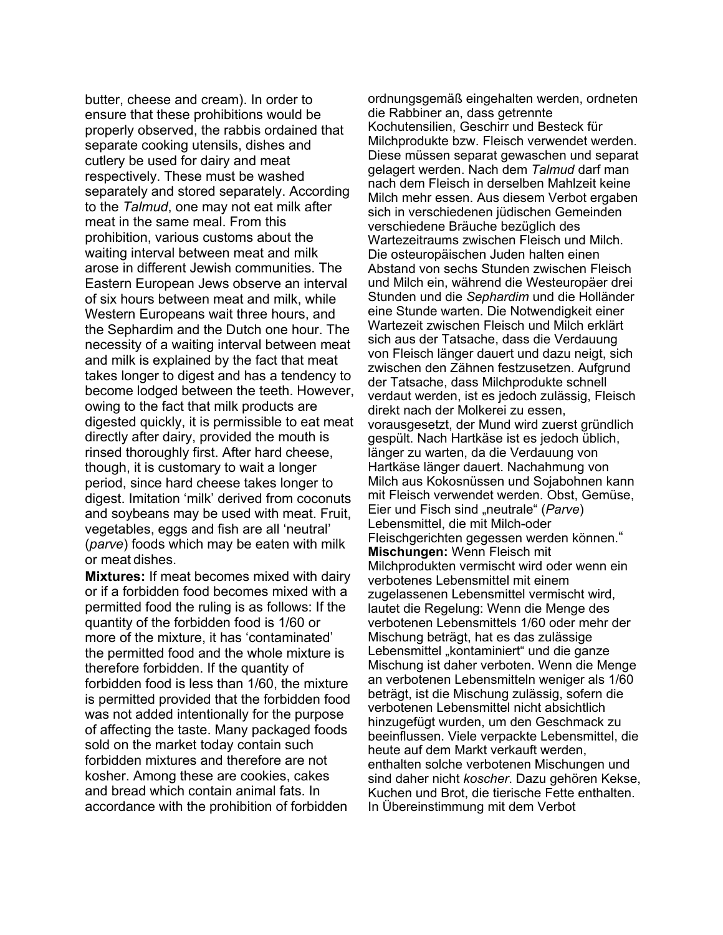butter, cheese and cream). In order to ensure that these prohibitions would be properly observed, the rabbis ordained that separate cooking utensils, dishes and cutlery be used for dairy and meat respectively. These must be washed separately and stored separately. According to the *Talmud*, one may not eat milk after meat in the same meal. From this prohibition, various customs about the waiting interval between meat and milk arose in different Jewish communities. The Eastern European Jews observe an interval of six hours between meat and milk, while Western Europeans wait three hours, and the Sephardim and the Dutch one hour. The necessity of a waiting interval between meat and milk is explained by the fact that meat takes longer to digest and has a tendency to become lodged between the teeth. However, owing to the fact that milk products are digested quickly, it is permissible to eat meat directly after dairy, provided the mouth is rinsed thoroughly first. After hard cheese, though, it is customary to wait a longer period, since hard cheese takes longer to digest. Imitation 'milk' derived from coconuts and soybeans may be used with meat. Fruit, vegetables, eggs and fish are all 'neutral' (*parve*) foods which may be eaten with milk or meat dishes.

**Mixtures:** If meat becomes mixed with dairy or if a forbidden food becomes mixed with a permitted food the ruling is as follows: If the quantity of the forbidden food is 1/60 or more of the mixture, it has 'contaminated' the permitted food and the whole mixture is therefore forbidden. If the quantity of forbidden food is less than 1/60, the mixture is permitted provided that the forbidden food was not added intentionally for the purpose of affecting the taste. Many packaged foods sold on the market today contain such forbidden mixtures and therefore are not kosher. Among these are cookies, cakes and bread which contain animal fats. In accordance with the prohibition of forbidden

ordnungsgemäß eingehalten werden, ordneten die Rabbiner an, dass getrennte Kochutensilien, Geschirr und Besteck für Milchprodukte bzw. Fleisch verwendet werden. Diese müssen separat gewaschen und separat gelagert werden. Nach dem *Talmud* darf man nach dem Fleisch in derselben Mahlzeit keine Milch mehr essen. Aus diesem Verbot ergaben sich in verschiedenen jüdischen Gemeinden verschiedene Bräuche bezüglich des Wartezeitraums zwischen Fleisch und Milch. Die osteuropäischen Juden halten einen Abstand von sechs Stunden zwischen Fleisch und Milch ein, während die Westeuropäer drei Stunden und die *Sephardim* und die Holländer eine Stunde warten. Die Notwendigkeit einer Wartezeit zwischen Fleisch und Milch erklärt sich aus der Tatsache, dass die Verdauung von Fleisch länger dauert und dazu neigt, sich zwischen den Zähnen festzusetzen. Aufgrund der Tatsache, dass Milchprodukte schnell verdaut werden, ist es jedoch zulässig, Fleisch direkt nach der Molkerei zu essen, vorausgesetzt, der Mund wird zuerst gründlich gespült. Nach Hartkäse ist es jedoch üblich, länger zu warten, da die Verdauung von Hartkäse länger dauert. Nachahmung von Milch aus Kokosnüssen und Sojabohnen kann mit Fleisch verwendet werden. Obst, Gemüse, Eier und Fisch sind "neutrale" (*Parve*) Lebensmittel, die mit Milch-oder Fleischgerichten gegessen werden können." **Mischungen:** Wenn Fleisch mit Milchprodukten vermischt wird oder wenn ein verbotenes Lebensmittel mit einem zugelassenen Lebensmittel vermischt wird, lautet die Regelung: Wenn die Menge des verbotenen Lebensmittels 1/60 oder mehr der Mischung beträgt, hat es das zulässige Lebensmittel "kontaminiert" und die ganze Mischung ist daher verboten. Wenn die Menge an verbotenen Lebensmitteln weniger als 1/60 beträgt, ist die Mischung zulässig, sofern die verbotenen Lebensmittel nicht absichtlich hinzugefügt wurden, um den Geschmack zu beeinflussen. Viele verpackte Lebensmittel, die heute auf dem Markt verkauft werden, enthalten solche verbotenen Mischungen und sind daher nicht *koscher*. Dazu gehören Kekse, Kuchen und Brot, die tierische Fette enthalten. In Übereinstimmung mit dem Verbot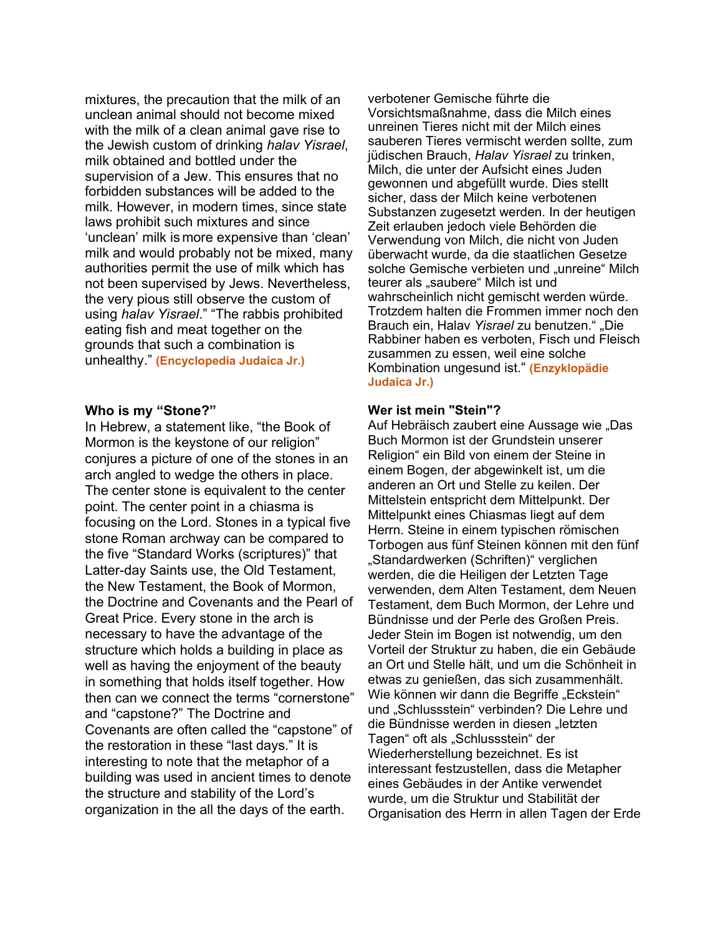mixtures, the precaution that the milk of an unclean animal should not become mixed with the milk of a clean animal gave rise to the Jewish custom of drinking *halav Yisrael*, milk obtained and bottled under the supervision of a Jew. This ensures that no forbidden substances will be added to the milk. However, in modern times, since state laws prohibit such mixtures and since 'unclean' milk is more expensive than 'clean' milk and would probably not be mixed, many authorities permit the use of milk which has not been supervised by Jews. Nevertheless, the very pious still observe the custom of using *halav Yisrael*." "The rabbis prohibited eating fish and meat together on the grounds that such a combination is unhealthy." **(Encyclopedia Judaica Jr.)**

#### **Who is my "Stone?"**

In Hebrew, a statement like, "the Book of Mormon is the keystone of our religion" conjures a picture of one of the stones in an arch angled to wedge the others in place. The center stone is equivalent to the center point. The center point in a chiasma is focusing on the Lord. Stones in a typical five stone Roman archway can be compared to the five "Standard Works (scriptures)" that Latter-day Saints use, the Old Testament, the New Testament, the Book of Mormon, the Doctrine and Covenants and the Pearl of Great Price. Every stone in the arch is necessary to have the advantage of the structure which holds a building in place as well as having the enjoyment of the beauty in something that holds itself together. How then can we connect the terms "cornerstone" and "capstone?" The Doctrine and Covenants are often called the "capstone" of the restoration in these "last days." It is interesting to note that the metaphor of a building was used in ancient times to denote the structure and stability of the Lord's organization in the all the days of the earth.

verbotener Gemische führte die Vorsichtsmaßnahme, dass die Milch eines unreinen Tieres nicht mit der Milch eines sauberen Tieres vermischt werden sollte, zum jüdischen Brauch, *Halav Yisrael* zu trinken, Milch, die unter der Aufsicht eines Juden gewonnen und abgefüllt wurde. Dies stellt sicher, dass der Milch keine verbotenen Substanzen zugesetzt werden. In der heutigen Zeit erlauben jedoch viele Behörden die Verwendung von Milch, die nicht von Juden überwacht wurde, da die staatlichen Gesetze solche Gemische verbieten und "unreine" Milch teurer als "saubere" Milch ist und wahrscheinlich nicht gemischt werden würde. Trotzdem halten die Frommen immer noch den Brauch ein, Halav Yisrael zu benutzen." "Die Rabbiner haben es verboten, Fisch und Fleisch zusammen zu essen, weil eine solche Kombination ungesund ist." **(Enzyklopädie Judaica Jr.)**

#### **Wer ist mein "Stein"?**

Auf Hebräisch zaubert eine Aussage wie "Das Buch Mormon ist der Grundstein unserer Religion" ein Bild von einem der Steine in einem Bogen, der abgewinkelt ist, um die anderen an Ort und Stelle zu keilen. Der Mittelstein entspricht dem Mittelpunkt. Der Mittelpunkt eines Chiasmas liegt auf dem Herrn. Steine in einem typischen römischen Torbogen aus fünf Steinen können mit den fünf "Standardwerken (Schriften)" verglichen werden, die die Heiligen der Letzten Tage verwenden, dem Alten Testament, dem Neuen Testament, dem Buch Mormon, der Lehre und Bündnisse und der Perle des Großen Preis. Jeder Stein im Bogen ist notwendig, um den Vorteil der Struktur zu haben, die ein Gebäude an Ort und Stelle hält, und um die Schönheit in etwas zu genießen, das sich zusammenhält. Wie können wir dann die Begriffe "Eckstein" und "Schlussstein" verbinden? Die Lehre und die Bündnisse werden in diesen "letzten Tagen" oft als "Schlussstein" der Wiederherstellung bezeichnet. Es ist interessant festzustellen, dass die Metapher eines Gebäudes in der Antike verwendet wurde, um die Struktur und Stabilität der Organisation des Herrn in allen Tagen der Erde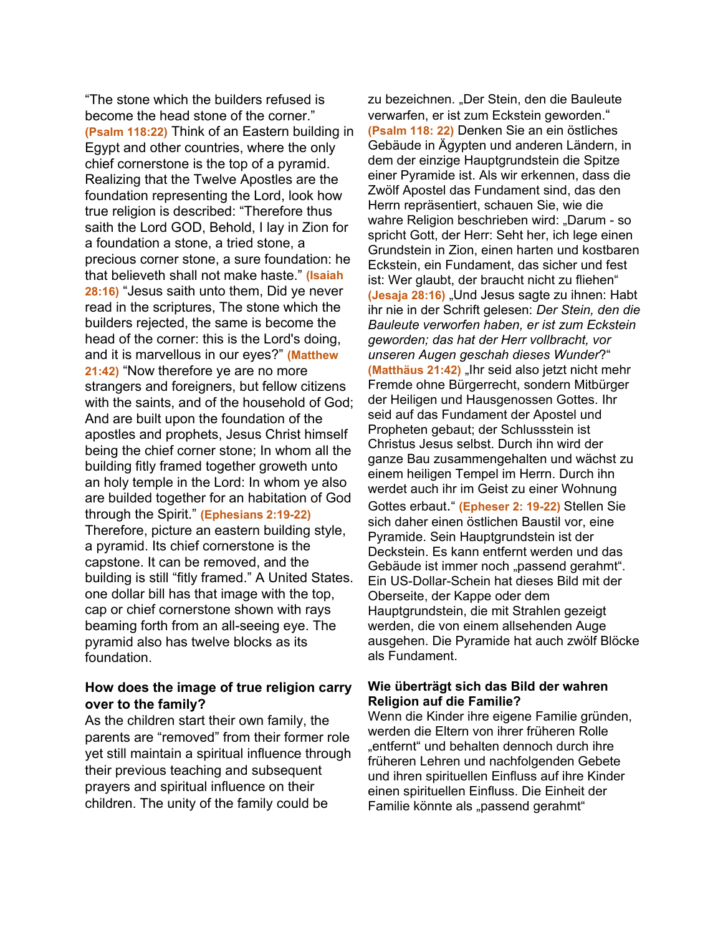"The stone which the builders refused is become the head stone of the corner." **(Psalm 118:22)** Think of an Eastern building in Egypt and other countries, where the only chief cornerstone is the top of a pyramid. Realizing that the Twelve Apostles are the foundation representing the Lord, look how true religion is described: "Therefore thus saith the Lord GOD, Behold, I lay in Zion for a foundation a stone, a tried stone, a precious corner stone, a sure foundation: he that believeth shall not make haste." **(Isaiah 28:16)** "Jesus saith unto them, Did ye never read in the scriptures, The stone which the builders rejected, the same is become the head of the corner: this is the Lord's doing, and it is marvellous in our eyes?" **(Matthew 21:42)** "Now therefore ye are no more strangers and foreigners, but fellow citizens with the saints, and of the household of God; And are built upon the foundation of the apostles and prophets, Jesus Christ himself being the chief corner stone; In whom all the building fitly framed together groweth unto an holy temple in the Lord: In whom ye also are builded together for an habitation of God through the Spirit." **(Ephesians 2:19-22)** Therefore, picture an eastern building style, a pyramid. Its chief cornerstone is the capstone. It can be removed, and the building is still "fitly framed." A United States. one dollar bill has that image with the top, cap or chief cornerstone shown with rays beaming forth from an all-seeing eye. The pyramid also has twelve blocks as its foundation.

## **How does the image of true religion carry over to the family?**

As the children start their own family, the parents are "removed" from their former role yet still maintain a spiritual influence through their previous teaching and subsequent prayers and spiritual influence on their children. The unity of the family could be

zu bezeichnen. "Der Stein, den die Bauleute verwarfen, er ist zum Eckstein geworden." **(Psalm 118: 22)** Denken Sie an ein östliches Gebäude in Ägypten und anderen Ländern, in dem der einzige Hauptgrundstein die Spitze einer Pyramide ist. Als wir erkennen, dass die Zwölf Apostel das Fundament sind, das den Herrn repräsentiert, schauen Sie, wie die wahre Religion beschrieben wird: "Darum - so spricht Gott, der Herr: Seht her, ich lege einen Grundstein in Zion, einen harten und kostbaren Eckstein, ein Fundament, das sicher und fest ist: Wer glaubt, der braucht nicht zu fliehen" **(Jesaja 28:16)** "Und Jesus sagte zu ihnen: Habt ihr nie in der Schrift gelesen: *Der Stein, den die Bauleute verworfen haben, er ist zum Eckstein geworden; das hat der Herr vollbracht, vor unseren Augen geschah dieses Wunder*?" **(Matthäus 21:42)** "Ihr seid also jetzt nicht mehr Fremde ohne Bürgerrecht, sondern Mitbürger der Heiligen und Hausgenossen Gottes. Ihr seid auf das Fundament der Apostel und Propheten gebaut; der Schlussstein ist Christus Jesus selbst. Durch ihn wird der ganze Bau zusammengehalten und wächst zu einem heiligen Tempel im Herrn. Durch ihn werdet auch ihr im Geist zu einer Wohnung Gottes erbaut." **(Epheser 2: 19-22)** Stellen Sie sich daher einen östlichen Baustil vor, eine Pyramide. Sein Hauptgrundstein ist der Deckstein. Es kann entfernt werden und das Gebäude ist immer noch "passend gerahmt". Ein US-Dollar-Schein hat dieses Bild mit der Oberseite, der Kappe oder dem Hauptgrundstein, die mit Strahlen gezeigt werden, die von einem allsehenden Auge ausgehen. Die Pyramide hat auch zwölf Blöcke als Fundament.

### **Wie überträgt sich das Bild der wahren Religion auf die Familie?**

Wenn die Kinder ihre eigene Familie gründen, werden die Eltern von ihrer früheren Rolle "entfernt" und behalten dennoch durch ihre früheren Lehren und nachfolgenden Gebete und ihren spirituellen Einfluss auf ihre Kinder einen spirituellen Einfluss. Die Einheit der Familie könnte als "passend gerahmt"